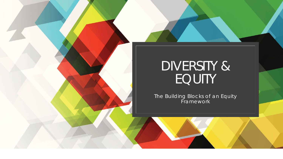

# DIVERSITY & EQUITY

The Building Blocks of an Equity Framework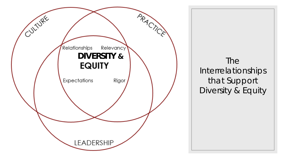

The Interrelationships that Support Diversity & Equity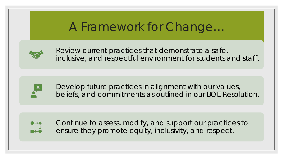## A Framework for Change…



Review current practices that demonstrate a safe, inclusive, and respectful environment for students and staff.



Develop future practices in alignment with our values, beliefs, and commitments as outlined in our BOE Resolution.



Continue to assess, modify, and support our practices to ensure they promote equity, inclusivity, and respect.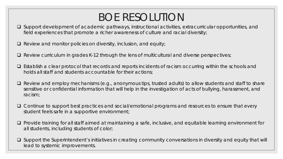## BOE RESOLUTION

- □ Support development of academic pathways, instructional activities, extracurricular opportunities, and field experiences that promote a richer awareness of culture and racial diversity;
- $\Box$  Review and monitor policies on diversity, inclusion, and equity;
- $\Box$  Review curriculum in grades K-12 through the lens of multicultural and diverse perspectives;
- $\Box$  Establish a clear protocol that records and reports incidents of racism occurring within the schools and holds all staff and students accountable for their actions;
- $\Box$  Review and employ mechanisms (e.g., anonymous tips, trusted adults) to allow students and staff to share sensitive or confidential information that will help in the investigation of acts of bullying, harassment, and racism;
- □ Continue to support best practices and social/emotional programs and resources to ensure that every student feels safe in a supportive environment;
- Provide training for all staff aimed at maintaining a safe, inclusive, and equitable learning environment for all students, including students of color;
- $\square$  Support the Superintendent's initiatives in creating community conversations in diversity and equity that will lead to systemic improvements.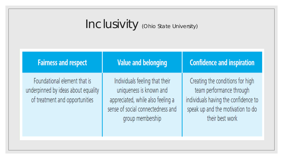# Inclusivity (Ohio State University)

| <b>Fairness and respect</b>                                                                           | <b>Value and belonging</b>                                                                                                                              | <b>Confidence and inspiration</b>                                                                                                                            |
|-------------------------------------------------------------------------------------------------------|---------------------------------------------------------------------------------------------------------------------------------------------------------|--------------------------------------------------------------------------------------------------------------------------------------------------------------|
| Foundational element that is<br>underpinned by ideas about equality<br>of treatment and opportunities | Individuals feeling that their<br>uniqueness is known and<br>appreciated, while also feeling a<br>sense of social connectedness and<br>group membership | Creating the conditions for high<br>team performance through<br>individuals having the confidence to<br>speak up and the motivation to do<br>their best work |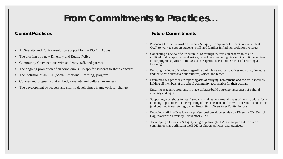### **From Commitments to Practices…**

#### **Current Practices**

- A Diversity and Equity resolution adopted by the BOE in August.
- The drafting of a new Diversity and Equity Policy
- Community Conversations with students, staff, and parents
- The ongoing promotion of an Anonymous Tip app for students to share concerns
- The inclusion of an SEL (Social Emotional Learning) program
- Courses and programs that embody diversity and cultural awareness
- The development by leaders and staff in developing a framework for change

#### **Future Commitments**

- Proposing the inclusion of a Diversity & Equity Compliance Officer (Superintendent Goal) to work to support students, staff, and families in finding resolutions to issues.
- Conducting a review of curriculum K-12 through the revision process to ensure multicultural perspectives and voices, as well as eliminating bias and institutional racism in our programs (Office of the Assistant Superintendent and Director of Teaching and Learning.
- Enlisting the input of students regarding their views and perspectives regarding literature and texts that address various cultures, voices, and biases.
- Examining our practices in reporting acts of bullying, harassment, and racism, as well as holding all members of the school community accountable for their actions.
- Ensuring academic programs in place embrace build a stronger awareness of cultural diversity and equity.
- Supporting workshops for staff, students, and leaders around issues of racism, with a focus on being "upstanders" in the reporting of incidents that conflict with our values and beliefs (and outlined in our Strategic Plan, Resolution, Diversity & Equity Policy).
- Engaging staff in a District-wide professional development day on Diversity (Dr. Derrick Gay, Work with Diversity - November 2020).
- Developing a Diversity & Equity subgroup through PEAC to support future district commitments as outlined in the BOE resolution, policies, and practices.